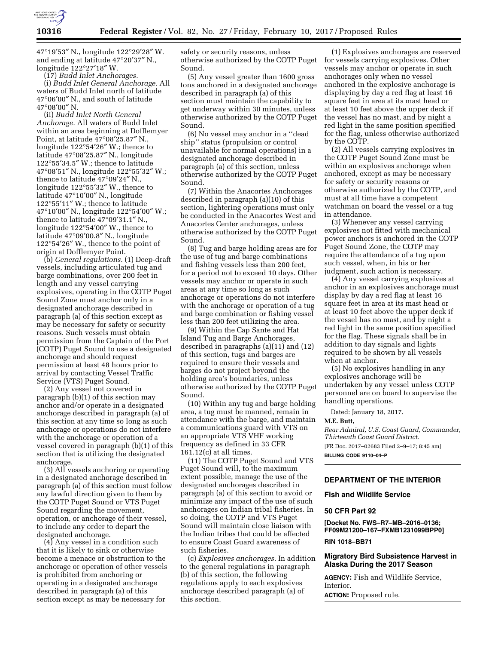

47°19′53″ N., longitude 122°29′28″ W. and ending at latitude 47°20′37″ N., longitude 122°27′18″ W.

(17) *Budd Inlet Anchorages.*  (i) *Budd Inlet General Anchorage.* All waters of Budd Inlet north of latitude 47°06′00″ N., and south of latitude 47°08′00″ N.

(ii) *Budd Inlet North General Anchorage.* All waters of Budd Inlet within an area beginning at Dofflemyer Point, at latitude 47°08′25.87″ N., longitude 122°54′26″ W.; thence to latitude 47°08′25.87″ N., longitude 122°55′34.5″ W.; thence to latitude 47°08′51″ N., longitude 122°55′32″ W.; thence to latitude 47°09′24″ N., longitude 122°55′32″ W., thence to latitude 47°10′00″ N., longitude 122°55′11″ W.; thence to latitude 47°10′00″ N., longitude 122°54′00″ W.; thence to latitude 47°09′31.1″ N., longitude 122°54′00″ W., thence to latitude 47°09′00.8″ N., longitude 122°54′26″ W., thence to the point of origin at Dofflemyer Point.

(b) *General regulations.* (1) Deep-draft vessels, including articulated tug and barge combinations, over 200 feet in length and any vessel carrying explosives, operating in the COTP Puget Sound Zone must anchor only in a designated anchorage described in paragraph (a) of this section except as may be necessary for safety or security reasons. Such vessels must obtain permission from the Captain of the Port (COTP) Puget Sound to use a designated anchorage and should request permission at least 48 hours prior to arrival by contacting Vessel Traffic Service (VTS) Puget Sound.

(2) Any vessel not covered in paragraph (b)(1) of this section may anchor and/or operate in a designated anchorage described in paragraph (a) of this section at any time so long as such anchorage or operations do not interfere with the anchorage or operation of a vessel covered in paragraph (b)(1) of this section that is utilizing the designated anchorage.

(3) All vessels anchoring or operating in a designated anchorage described in paragraph (a) of this section must follow any lawful direction given to them by the COTP Puget Sound or VTS Puget Sound regarding the movement, operation, or anchorage of their vessel, to include any order to depart the designated anchorage.

(4) Any vessel in a condition such that it is likely to sink or otherwise become a menace or obstruction to the anchorage or operation of other vessels is prohibited from anchoring or operating in a designated anchorage described in paragraph (a) of this section except as may be necessary for

safety or security reasons, unless otherwise authorized by the COTP Puget Sound.

(5) Any vessel greater than 1600 gross tons anchored in a designated anchorage described in paragraph (a) of this section must maintain the capability to get underway within 30 minutes, unless otherwise authorized by the COTP Puget Sound.

(6) No vessel may anchor in a ''dead ship'' status (propulsion or control unavailable for normal operations) in a designated anchorage described in paragraph (a) of this section, unless otherwise authorized by the COTP Puget Sound.

(7) Within the Anacortes Anchorages described in paragraph (a)(10) of this section, lightering operations must only be conducted in the Anacortes West and Anacortes Center anchorages, unless otherwise authorized by the COTP Puget Sound.

(8) Tug and barge holding areas are for the use of tug and barge combinations and fishing vessels less than 200 feet, for a period not to exceed 10 days. Other vessels may anchor or operate in such areas at any time so long as such anchorage or operations do not interfere with the anchorage or operation of a tug and barge combination or fishing vessel less than 200 feet utilizing the area.

(9) Within the Cap Sante and Hat Island Tug and Barge Anchorages, described in paragraphs (a)(11) and (12) of this section, tugs and barges are required to ensure their vessels and barges do not project beyond the holding area's boundaries, unless otherwise authorized by the COTP Puget Sound.

(10) Within any tug and barge holding area, a tug must be manned, remain in attendance with the barge, and maintain a communications guard with VTS on an appropriate VTS VHF working frequency as defined in 33 CFR 161.12(c) at all times.

(11) The COTP Puget Sound and VTS Puget Sound will, to the maximum extent possible, manage the use of the designated anchorages described in paragraph (a) of this section to avoid or minimize any impact of the use of such anchorages on Indian tribal fisheries. In so doing, the COTP and VTS Puget Sound will maintain close liaison with the Indian tribes that could be affected to ensure Coast Guard awareness of such fisheries.

(c) *Explosives anchorages.* In addition to the general regulations in paragraph (b) of this section, the following regulations apply to each explosives anchorage described paragraph (a) of this section.

(1) Explosives anchorages are reserved for vessels carrying explosives. Other vessels may anchor or operate in such anchorages only when no vessel anchored in the explosive anchorage is displaying by day a red flag at least 16 square feet in area at its mast head or at least 10 feet above the upper deck if the vessel has no mast, and by night a red light in the same position specified for the flag, unless otherwise authorized by the COTP.

(2) All vessels carrying explosives in the COTP Puget Sound Zone must be within an explosives anchorage when anchored, except as may be necessary for safety or security reasons or otherwise authorized by the COTP, and must at all time have a competent watchman on board the vessel or a tug in attendance.

(3) Whenever any vessel carrying explosives not fitted with mechanical power anchors is anchored in the COTP Puget Sound Zone, the COTP may require the attendance of a tug upon such vessel, when, in his or her judgment, such action is necessary.

(4) Any vessel carrying explosives at anchor in an explosives anchorage must display by day a red flag at least 16 square feet in area at its mast head or at least 10 feet above the upper deck if the vessel has no mast, and by night a red light in the same position specified for the flag. These signals shall be in addition to day signals and lights required to be shown by all vessels when at anchor.

(5) No explosives handling in any explosives anchorage will be undertaken by any vessel unless COTP personnel are on board to supervise the handling operations.

Dated: January 18, 2017.

#### **M.E. Butt,**

*Rear Admiral, U.S. Coast Guard, Commander, Thirteenth Coast Guard District.* 

[FR Doc. 2017–02683 Filed 2–9–17; 8:45 am] **BILLING CODE 9110–04–P** 

# **DEPARTMENT OF THE INTERIOR**

**Fish and Wildlife Service** 

#### **50 CFR Part 92**

**[Docket No. FWS–R7–MB–2016–0136; FF09M21200–167–FXMB1231099BPP0]** 

## **RIN 1018–BB71**

## **Migratory Bird Subsistence Harvest in Alaska During the 2017 Season**

**AGENCY:** Fish and Wildlife Service, Interior.

**ACTION:** Proposed rule.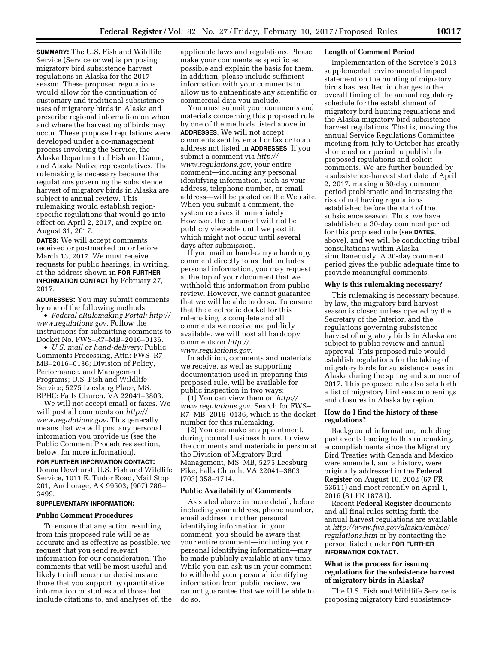**SUMMARY:** The U.S. Fish and Wildlife Service (Service or we) is proposing migratory bird subsistence harvest regulations in Alaska for the 2017 season. These proposed regulations would allow for the continuation of customary and traditional subsistence uses of migratory birds in Alaska and prescribe regional information on when and where the harvesting of birds may occur. These proposed regulations were developed under a co-management process involving the Service, the Alaska Department of Fish and Game, and Alaska Native representatives. The rulemaking is necessary because the regulations governing the subsistence harvest of migratory birds in Alaska are subject to annual review. This rulemaking would establish regionspecific regulations that would go into effect on April 2, 2017, and expire on August 31, 2017.

**DATES:** We will accept comments received or postmarked on or before March 13, 2017. We must receive requests for public hearings, in writing, at the address shown in **FOR FURTHER INFORMATION CONTACT** by February 27, 2017.

**ADDRESSES:** You may submit comments by one of the following methods:

• *Federal eRulemaking Portal: [http://](http://www.regulations.gov)  [www.regulations.gov.](http://www.regulations.gov)* Follow the instructions for submitting comments to Docket No. FWS–R7–MB–2016–0136.

• *U.S. mail or hand-delivery:* Public Comments Processing, Attn: FWS–R7– MB–2016–0136; Division of Policy, Performance, and Management Programs; U.S. Fish and Wildlife Service; 5275 Leesburg Place, MS: BPHC; Falls Church, VA 22041–3803.

We will not accept email or faxes. We will post all comments on *[http://](http://www.regulations.gov) [www.regulations.gov.](http://www.regulations.gov)* This generally means that we will post any personal information you provide us (see the Public Comment Procedures section, below, for more information).

#### **FOR FURTHER INFORMATION CONTACT:**

Donna Dewhurst, U.S. Fish and Wildlife Service, 1011 E. Tudor Road, Mail Stop 201, Anchorage, AK 99503; (907) 786– 3499.

# **SUPPLEMENTARY INFORMATION:**

#### **Public Comment Procedures**

To ensure that any action resulting from this proposed rule will be as accurate and as effective as possible, we request that you send relevant information for our consideration. The comments that will be most useful and likely to influence our decisions are those that you support by quantitative information or studies and those that include citations to, and analyses of, the

applicable laws and regulations. Please make your comments as specific as possible and explain the basis for them. In addition, please include sufficient information with your comments to allow us to authenticate any scientific or commercial data you include.

You must submit your comments and materials concerning this proposed rule by one of the methods listed above in **ADDRESSES**. We will not accept comments sent by email or fax or to an address not listed in **ADDRESSES**. If you submit a comment via *[http://](http://www.regulations.gov) [www.regulations.gov,](http://www.regulations.gov)* your entire comment—including any personal identifying information, such as your address, telephone number, or email address—will be posted on the Web site. When you submit a comment, the system receives it immediately. However, the comment will not be publicly viewable until we post it, which might not occur until several days after submission.

If you mail or hand-carry a hardcopy comment directly to us that includes personal information, you may request at the top of your document that we withhold this information from public review. However, we cannot guarantee that we will be able to do so. To ensure that the electronic docket for this rulemaking is complete and all comments we receive are publicly available, we will post all hardcopy comments on *[http://](http://www.regulations.gov) [www.regulations.gov.](http://www.regulations.gov)* 

In addition, comments and materials we receive, as well as supporting documentation used in preparing this proposed rule, will be available for public inspection in two ways:

(1) You can view them on *[http://](http://www.regulations.gov) [www.regulations.gov.](http://www.regulations.gov)* Search for FWS– R7–MB–2016–0136, which is the docket number for this rulemaking.

(2) You can make an appointment, during normal business hours, to view the comments and materials in person at the Division of Migratory Bird Management, MS: MB, 5275 Leesburg Pike, Falls Church, VA 22041–3803; (703) 358–1714.

#### **Public Availability of Comments**

As stated above in more detail, before including your address, phone number, email address, or other personal identifying information in your comment, you should be aware that your entire comment—including your personal identifying information—may be made publicly available at any time. While you can ask us in your comment to withhold your personal identifying information from public review, we cannot guarantee that we will be able to do so.

#### **Length of Comment Period**

Implementation of the Service's 2013 supplemental environmental impact statement on the hunting of migratory birds has resulted in changes to the overall timing of the annual regulatory schedule for the establishment of migratory bird hunting regulations and the Alaska migratory bird subsistenceharvest regulations. That is, moving the annual Service Regulations Committee meeting from July to October has greatly shortened our period to publish the proposed regulations and solicit comments. We are further bounded by a subsistence-harvest start date of April 2, 2017, making a 60-day comment period problematic and increasing the risk of not having regulations established before the start of the subsistence season. Thus, we have established a 30-day comment period for this proposed rule (see **DATES**, above), and we will be conducting tribal consultations within Alaska simultaneously. A 30-day comment period gives the public adequate time to provide meaningful comments.

#### **Why is this rulemaking necessary?**

This rulemaking is necessary because, by law, the migratory bird harvest season is closed unless opened by the Secretary of the Interior, and the regulations governing subsistence harvest of migratory birds in Alaska are subject to public review and annual approval. This proposed rule would establish regulations for the taking of migratory birds for subsistence uses in Alaska during the spring and summer of 2017. This proposed rule also sets forth a list of migratory bird season openings and closures in Alaska by region.

## **How do I find the history of these regulations?**

Background information, including past events leading to this rulemaking, accomplishments since the Migratory Bird Treaties with Canada and Mexico were amended, and a history, were originally addressed in the **Federal Register** on August 16, 2002 (67 FR 53511) and most recently on April 1, 2016 (81 FR 18781).

Recent **Federal Register** documents and all final rules setting forth the annual harvest regulations are available at *[http://www.fws.gov/alaska/ambcc/](http://www.fws.gov/alaska/ambcc/regulations.htm) [regulations.htm](http://www.fws.gov/alaska/ambcc/regulations.htm)* or by contacting the person listed under **FOR FURTHER INFORMATION CONTACT**.

### **What is the process for issuing regulations for the subsistence harvest of migratory birds in Alaska?**

The U.S. Fish and Wildlife Service is proposing migratory bird subsistence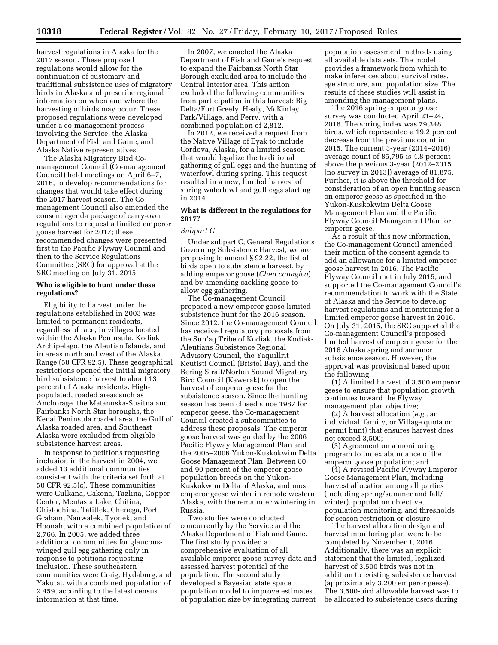harvest regulations in Alaska for the 2017 season. These proposed regulations would allow for the continuation of customary and traditional subsistence uses of migratory birds in Alaska and prescribe regional information on when and where the harvesting of birds may occur. These proposed regulations were developed under a co-management process involving the Service, the Alaska Department of Fish and Game, and Alaska Native representatives.

The Alaska Migratory Bird Comanagement Council (Co-management Council) held meetings on April 6–7, 2016, to develop recommendations for changes that would take effect during the 2017 harvest season. The Comanagement Council also amended the consent agenda package of carry-over regulations to request a limited emperor goose harvest for 2017; these recommended changes were presented first to the Pacific Flyway Council and then to the Service Regulations Committee (SRC) for approval at the SRC meeting on July 31, 2015.

## **Who is eligible to hunt under these regulations?**

Eligibility to harvest under the regulations established in 2003 was limited to permanent residents, regardless of race, in villages located within the Alaska Peninsula, Kodiak Archipelago, the Aleutian Islands, and in areas north and west of the Alaska Range (50 CFR 92.5). These geographical restrictions opened the initial migratory bird subsistence harvest to about 13 percent of Alaska residents. Highpopulated, roaded areas such as Anchorage, the Matanuska-Susitna and Fairbanks North Star boroughs, the Kenai Peninsula roaded area, the Gulf of Alaska roaded area, and Southeast Alaska were excluded from eligible subsistence harvest areas.

In response to petitions requesting inclusion in the harvest in 2004, we added 13 additional communities consistent with the criteria set forth at 50 CFR 92.5(c). These communities were Gulkana, Gakona, Tazlina, Copper Center, Mentasta Lake, Chitina, Chistochina, Tatitlek, Chenega, Port Graham, Nanwalek, Tyonek, and Hoonah, with a combined population of 2,766. In 2005, we added three additional communities for glaucouswinged gull egg gathering only in response to petitions requesting inclusion. These southeastern communities were Craig, Hydaburg, and Yakutat, with a combined population of 2,459, according to the latest census information at that time.

In 2007, we enacted the Alaska Department of Fish and Game's request to expand the Fairbanks North Star Borough excluded area to include the Central Interior area. This action excluded the following communities from participation in this harvest: Big Delta/Fort Greely, Healy, McKinley Park/Village, and Ferry, with a combined population of 2,812.

In 2012, we received a request from the Native Village of Eyak to include Cordova, Alaska, for a limited season that would legalize the traditional gathering of gull eggs and the hunting of waterfowl during spring. This request resulted in a new, limited harvest of spring waterfowl and gull eggs starting in 2014.

# **What is different in the regulations for 2017?**

## *Subpart C*

Under subpart C, General Regulations Governing Subsistence Harvest, we are proposing to amend § 92.22, the list of birds open to subsistence harvest, by adding emperor goose (*Chen canagica*) and by amending cackling goose to allow egg gathering.

The Co-management Council proposed a new emperor goose limited subsistence hunt for the 2016 season. Since 2012, the Co-management Council has received regulatory proposals from the Sun'aq Tribe of Kodiak, the Kodiak-Aleutians Subsistence Regional Advisory Council, the Yaquillrit Keutisti Council (Bristol Bay), and the Bering Strait/Norton Sound Migratory Bird Council (Kawerak) to open the harvest of emperor geese for the subsistence season. Since the hunting season has been closed since 1987 for emperor geese, the Co-management Council created a subcommittee to address these proposals. The emperor goose harvest was guided by the 2006 Pacific Flyway Management Plan and the 2005–2006 Yukon-Kuskokwim Delta Goose Management Plan. Between 80 and 90 percent of the emperor goose population breeds on the Yukon-Kuskokwim Delta of Alaska, and most emperor geese winter in remote western Alaska, with the remainder wintering in Russia.

Two studies were conducted concurrently by the Service and the Alaska Department of Fish and Game. The first study provided a comprehensive evaluation of all available emperor goose survey data and assessed harvest potential of the population. The second study developed a Bayesian state space population model to improve estimates of population size by integrating current

population assessment methods using all available data sets. The model provides a framework from which to make inferences about survival rates, age structure, and population size. The results of these studies will assist in amending the management plans.

The 2016 spring emperor goose survey was conducted April 21–24, 2016. The spring index was 79,348 birds, which represented a 19.2 percent decrease from the previous count in 2015. The current 3-year (2014–2016) average count of 85,795 is 4.8 percent above the previous 3-year (2012–2015 [no survey in 2013]) average of 81,875. Further, it is above the threshold for consideration of an open hunting season on emperor geese as specified in the Yukon-Kuskokwim Delta Goose Management Plan and the Pacific Flyway Council Management Plan for emperor geese.

As a result of this new information, the Co-management Council amended their motion of the consent agenda to add an allowance for a limited emperor goose harvest in 2016. The Pacific Flyway Council met in July 2015, and supported the Co-management Council's recommendation to work with the State of Alaska and the Service to develop harvest regulations and monitoring for a limited emperor goose harvest in 2016. On July 31, 2015, the SRC supported the Co-management Council's proposed limited harvest of emperor geese for the 2016 Alaska spring and summer subsistence season. However, the approval was provisional based upon the following:

(1) A limited harvest of 3,500 emperor geese to ensure that population growth continues toward the Flyway management plan objective;

(2) A harvest allocation (*e.g.,* an individual, family, or Village quota or permit hunt) that ensures harvest does not exceed 3,500;

(3) Agreement on a monitoring program to index abundance of the emperor goose population; and

(4) A revised Pacific Flyway Emperor Goose Management Plan, including harvest allocation among all parties (including spring/summer and fall/ winter), population objective, population monitoring, and thresholds for season restriction or closure.

The harvest allocation design and harvest monitoring plan were to be completed by November 1, 2016. Additionally, there was an explicit statement that the limited, legalized harvest of 3,500 birds was not in addition to existing subsistence harvest (approximately 3,200 emperor geese). The 3,500-bird allowable harvest was to be allocated to subsistence users during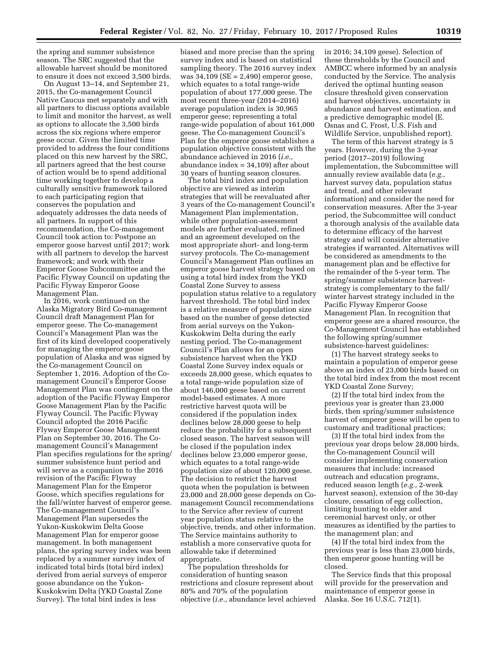the spring and summer subsistence season. The SRC suggested that the allowable harvest should be monitored to ensure it does not exceed 3,500 birds.

On August 13–14, and September 21, 2015, the Co-management Council Native Caucus met separately and with all partners to discuss options available to limit and monitor the harvest, as well as options to allocate the 3,500 birds across the six regions where emperor geese occur. Given the limited time provided to address the four conditions placed on this new harvest by the SRC, all partners agreed that the best course of action would be to spend additional time working together to develop a culturally sensitive framework tailored to each participating region that conserves the population and adequately addresses the data needs of all partners. In support of this recommendation, the Co-management Council took action to: Postpone an emperor goose harvest until 2017; work with all partners to develop the harvest framework; and work with their Emperor Goose Subcommittee and the Pacific Flyway Council on updating the Pacific Flyway Emperor Goose Management Plan.

In 2016, work continued on the Alaska Migratory Bird Co-management Council draft Management Plan for emperor geese. The Co-management Council's Management Plan was the first of its kind developed cooperatively for managing the emperor goose population of Alaska and was signed by the Co-management Council on September 1, 2016. Adoption of the Comanagement Council's Emperor Goose Management Plan was contingent on the adoption of the Pacific Flyway Emperor Goose Management Plan by the Pacific Flyway Council. The Pacific Flyway Council adopted the 2016 Pacific Flyway Emperor Goose Management Plan on September 30, 2016. The Comanagement Council's Management Plan specifies regulations for the spring/ summer subsistence hunt period and will serve as a companion to the 2016 revision of the Pacific Flyway Management Plan for the Emperor Goose, which specifies regulations for the fall/winter harvest of emperor geese. The Co-management Council's Management Plan supersedes the Yukon-Kuskokwim Delta Goose Management Plan for emperor goose management. In both management plans, the spring survey index was been replaced by a summer survey index of indicated total birds (total bird index) derived from aerial surveys of emperor goose abundance on the Yukon-Kuskokwim Delta (YKD Coastal Zone Survey). The total bird index is less

biased and more precise than the spring survey index and is based on statistical sampling theory. The 2016 survey index was 34,109 (SE = 2,490) emperor geese, which equates to a total range-wide population of about 177,000 geese. The most recent three-year (2014–2016) average population index is 30,965 emperor geese; representing a total range-wide population of about 161,000 geese. The Co-management Council's Plan for the emperor goose establishes a population objective consistent with the abundance achieved in 2016 (*i.e.,*  abundance index = 34,109) after about 30 years of hunting season closures.

The total bird index and population objective are viewed as interim strategies that will be reevaluated after 3 years of the Co-management Council's Management Plan implementation, while other population-assessment models are further evaluated, refined and an agreement developed on the most appropriate short- and long-term survey protocols. The Co-management Council's Management Plan outlines an emperor goose harvest strategy based on using a total bird index from the YKD Coastal Zone Survey to assess population status relative to a regulatory harvest threshold. The total bird index is a relative measure of population size based on the number of geese detected from aerial surveys on the Yukon-Kuskokwim Delta during the early nesting period. The Co-management Council's Plan allows for an open subsistence harvest when the YKD Coastal Zone Survey index equals or exceeds 28,000 geese, which equates to a total range-wide population size of about 146,000 geese based on current model-based estimates. A more restrictive harvest quota will be considered if the population index declines below 28,000 geese to help reduce the probability for a subsequent closed season. The harvest season will be closed if the population index declines below 23,000 emperor geese, which equates to a total range-wide population size of about 120,000 geese. The decision to restrict the harvest quota when the population is between 23,000 and 28,000 geese depends on Comanagement Council recommendations to the Service after review of current year population status relative to the objective, trends, and other information. The Service maintains authority to establish a more conservative quota for allowable take if determined appropriate.

The population thresholds for consideration of hunting season restrictions and closure represent about 80% and 70% of the population objective (*i.e.,* abundance level achieved in 2016; 34,109 geese). Selection of these thresholds by the Council and AMBCC where informed by an analysis conducted by the Service. The analysis derived the optimal hunting season closure threshold given conservation and harvest objectives, uncertainty in abundance and harvest estimation, and a predictive demographic model (E. Osnas and C. Frost, U.S. Fish and Wildlife Service, unpublished report).

The term of this harvest strategy is 5 years. However, during the 3-year period (2017–2019) following implementation, the Subcommittee will annually review available data (*e.g.,*  harvest survey data, population status and trend, and other relevant information) and consider the need for conservation measures. After the 3-year period, the Subcommittee will conduct a thorough analysis of the available data to determine efficacy of the harvest strategy and will consider alternative strategies if warranted. Alternatives will be considered as amendments to the management plan and be effective for the remainder of the 5-year term. The spring/summer subsistence harveststrategy is complementary to the fall/ winter harvest strategy included in the Pacific Flyway Emperor Goose Management Plan. In recognition that emperor geese are a shared resource, the Co-Management Council has established the following spring/summer subsistence-harvest guidelines:

(1) The harvest strategy seeks to maintain a population of emperor geese above an index of 23,000 birds based on the total bird index from the most recent YKD Coastal Zone Survey;

(2) If the total bird index from the previous year is greater than 23,000 birds, then spring/summer subsistence harvest of emperor geese will be open to customary and traditional practices;

(3) If the total bird index from the previous year drops below 28,000 birds, the Co-management Council will consider implementing conservation measures that include: increased outreach and education programs, reduced season length (*e.g.,* 2-week harvest season), extension of the 30-day closure, cessation of egg collection, limiting hunting to elder and ceremonial harvest only, or other measures as identified by the parties to the management plan; and

(4) If the total bird index from the previous year is less than 23,000 birds, then emperor goose hunting will be closed.

The Service finds that this proposal will provide for the preservation and maintenance of emperor geese in Alaska. See 16 U.S.C. 712(1).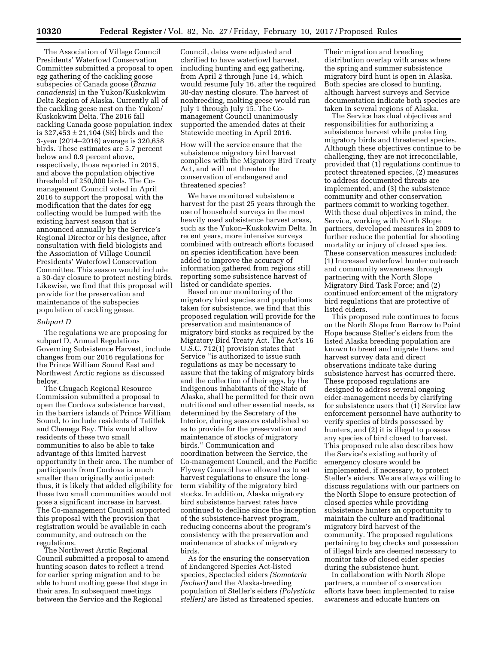The Association of Village Council Presidents' Waterfowl Conservation Committee submitted a proposal to open egg gathering of the cackling goose subspecies of Canada goose (*Branta canadensis*) in the Yukon/Kuskokwim Delta Region of Alaska. Currently all of the cackling geese nest on the Yukon/ Kuskokwim Delta. The 2016 fall cackling Canada goose population index is 327,453 ± 21,104 (SE) birds and the 3-year (2014–2016) average is 320,658 birds. These estimates are 5.7 percent below and 0.9 percent above, respectively, those reported in 2015, and above the population objective threshold of 250,000 birds. The Comanagement Council voted in April 2016 to support the proposal with the modification that the dates for egg collecting would be lumped with the existing harvest season that is announced annually by the Service's Regional Director or his designee, after consultation with field biologists and the Association of Village Council Presidents' Waterfowl Conservation Committee. This season would include a 30-day closure to protect nesting birds. Likewise, we find that this proposal will provide for the preservation and maintenance of the subspecies population of cackling geese.

#### *Subpart D*

The regulations we are proposing for subpart D, Annual Regulations Governing Subsistence Harvest, include changes from our 2016 regulations for the Prince William Sound East and Northwest Arctic regions as discussed below.

The Chugach Regional Resource Commission submitted a proposal to open the Cordova subsistence harvest, in the barriers islands of Prince William Sound, to include residents of Tatitlek and Chenega Bay. This would allow residents of these two small communities to also be able to take advantage of this limited harvest opportunity in their area. The number of participants from Cordova is much smaller than originally anticipated; thus, it is likely that added eligibility for these two small communities would not pose a significant increase in harvest. The Co-management Council supported this proposal with the provision that registration would be available in each community, and outreach on the regulations.

The Northwest Arctic Regional Council submitted a proposal to amend hunting season dates to reflect a trend for earlier spring migration and to be able to hunt molting geese that stage in their area. In subsequent meetings between the Service and the Regional

Council, dates were adjusted and clarified to have waterfowl harvest, including hunting and egg gathering, from April 2 through June 14, which would resume July 16, after the required 30-day nesting closure. The harvest of nonbreeding, molting geese would run July 1 through July 15. The Comanagement Council unanimously supported the amended dates at their Statewide meeting in April 2016.

How will the service ensure that the subsistence migratory bird harvest complies with the Migratory Bird Treaty Act, and will not threaten the conservation of endangered and threatened species?

We have monitored subsistence harvest for the past 25 years through the use of household surveys in the most heavily used subsistence harvest areas, such as the Yukon–Kuskokwim Delta. In recent years, more intensive surveys combined with outreach efforts focused on species identification have been added to improve the accuracy of information gathered from regions still reporting some subsistence harvest of listed or candidate species.

Based on our monitoring of the migratory bird species and populations taken for subsistence, we find that this proposed regulation will provide for the preservation and maintenance of migratory bird stocks as required by the Migratory Bird Treaty Act. The Act's 16 U.S.C. 712(1) provision states that Service ''is authorized to issue such regulations as may be necessary to assure that the taking of migratory birds and the collection of their eggs, by the indigenous inhabitants of the State of Alaska, shall be permitted for their own nutritional and other essential needs, as determined by the Secretary of the Interior, during seasons established so as to provide for the preservation and maintenance of stocks of migratory birds.'' Communication and coordination between the Service, the Co-management Council, and the Pacific Flyway Council have allowed us to set harvest regulations to ensure the longterm viability of the migratory bird stocks. In addition, Alaska migratory bird subsistence harvest rates have continued to decline since the inception of the subsistence-harvest program, reducing concerns about the program's consistency with the preservation and maintenance of stocks of migratory birds.

As for the ensuring the conservation of Endangered Species Act-listed species, Spectacled eiders *(Somateria fischeri)* and the Alaska-breeding population of Steller's eiders *(Polysticta stelleri)* are listed as threatened species.

Their migration and breeding distribution overlap with areas where the spring and summer subsistence migratory bird hunt is open in Alaska. Both species are closed to hunting, although harvest surveys and Service documentation indicate both species are taken in several regions of Alaska.

The Service has dual objectives and responsibilities for authorizing a subsistence harvest while protecting migratory birds and threatened species. Although these objectives continue to be challenging, they are not irreconcilable, provided that (1) regulations continue to protect threatened species, (2) measures to address documented threats are implemented, and (3) the subsistence community and other conservation partners commit to working together. With these dual objectives in mind, the Service, working with North Slope partners, developed measures in 2009 to further reduce the potential for shooting mortality or injury of closed species. These conservation measures included: (1) Increased waterfowl hunter outreach and community awareness through partnering with the North Slope Migratory Bird Task Force; and (2) continued enforcement of the migratory bird regulations that are protective of listed eiders.

This proposed rule continues to focus on the North Slope from Barrow to Point Hope because Steller's eiders from the listed Alaska breeding population are known to breed and migrate there, and harvest survey data and direct observations indicate take during subsistence harvest has occurred there. These proposed regulations are designed to address several ongoing eider-management needs by clarifying for subsistence users that (1) Service law enforcement personnel have authority to verify species of birds possessed by hunters, and (2) it is illegal to possess any species of bird closed to harvest. This proposed rule also describes how the Service's existing authority of emergency closure would be implemented, if necessary, to protect Steller's eiders. We are always willing to discuss regulations with our partners on the North Slope to ensure protection of closed species while providing subsistence hunters an opportunity to maintain the culture and traditional migratory bird harvest of the community. The proposed regulations pertaining to bag checks and possession of illegal birds are deemed necessary to monitor take of closed eider species during the subsistence hunt.

In collaboration with North Slope partners, a number of conservation efforts have been implemented to raise awareness and educate hunters on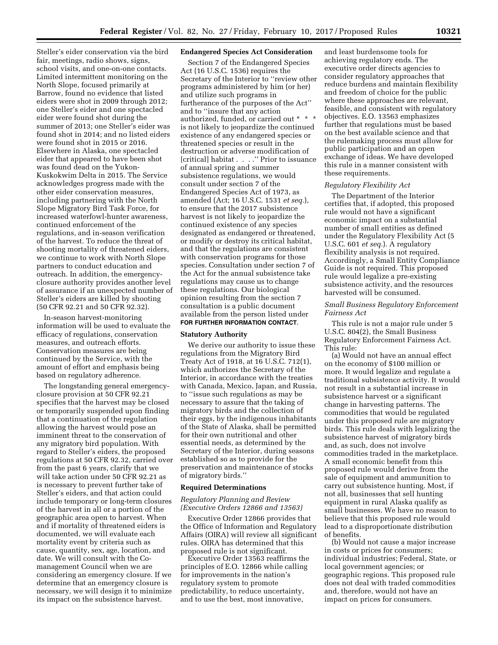Steller's eider conservation via the bird fair, meetings, radio shows, signs, school visits, and one-on-one contacts. Limited intermittent monitoring on the North Slope, focused primarily at Barrow, found no evidence that listed eiders were shot in 2009 through 2012; one Steller's eider and one spectacled eider were found shot during the summer of 2013; one Steller's eider was found shot in 2014; and no listed eiders were found shot in 2015 or 2016. Elsewhere in Alaska, one spectacled eider that appeared to have been shot was found dead on the Yukon-Kuskokwim Delta in 2015. The Service acknowledges progress made with the other eider conservation measures, including partnering with the North Slope Migratory Bird Task Force, for increased waterfowl-hunter awareness, continued enforcement of the regulations, and in-season verification of the harvest. To reduce the threat of shooting mortality of threatened eiders, we continue to work with North Slope partners to conduct education and outreach. In addition, the emergencyclosure authority provides another level of assurance if an unexpected number of Steller's eiders are killed by shooting (50 CFR 92.21 and 50 CFR 92.32).

In-season harvest-monitoring information will be used to evaluate the efficacy of regulations, conservation measures, and outreach efforts. Conservation measures are being continued by the Service, with the amount of effort and emphasis being based on regulatory adherence.

The longstanding general emergencyclosure provision at 50 CFR 92.21 specifies that the harvest may be closed or temporarily suspended upon finding that a continuation of the regulation allowing the harvest would pose an imminent threat to the conservation of any migratory bird population. With regard to Steller's eiders, the proposed regulations at 50 CFR 92.32, carried over from the past 6 years, clarify that we will take action under 50 CFR 92.21 as is necessary to prevent further take of Steller's eiders, and that action could include temporary or long-term closures of the harvest in all or a portion of the geographic area open to harvest. When and if mortality of threatened eiders is documented, we will evaluate each mortality event by criteria such as cause, quantity, sex, age, location, and date. We will consult with the Comanagement Council when we are considering an emergency closure. If we determine that an emergency closure is necessary, we will design it to minimize its impact on the subsistence harvest.

## **Endangered Species Act Consideration**

Section 7 of the Endangered Species Act (16 U.S.C. 1536) requires the Secretary of the Interior to ''review other programs administered by him (or her) and utilize such programs in furtherance of the purposes of the Act'' and to ''insure that any action authorized, funded, or carried out \* \* \* is not likely to jeopardize the continued existence of any endangered species or threatened species or result in the destruction or adverse modification of [critical] habitat . . . .'' Prior to issuance of annual spring and summer subsistence regulations, we would consult under section 7 of the Endangered Species Act of 1973, as amended (Act; 16 U.S.C. 1531 *et seq.*), to ensure that the 2017 subsistence harvest is not likely to jeopardize the continued existence of any species designated as endangered or threatened, or modify or destroy its critical habitat, and that the regulations are consistent with conservation programs for those species. Consultation under section 7 of the Act for the annual subsistence take regulations may cause us to change these regulations. Our biological opinion resulting from the section 7 consultation is a public document available from the person listed under **FOR FURTHER INFORMATION CONTACT**.

#### **Statutory Authority**

We derive our authority to issue these regulations from the Migratory Bird Treaty Act of 1918, at 16 U.S.C. 712(1), which authorizes the Secretary of the Interior, in accordance with the treaties with Canada, Mexico, Japan, and Russia, to ''issue such regulations as may be necessary to assure that the taking of migratory birds and the collection of their eggs, by the indigenous inhabitants of the State of Alaska, shall be permitted for their own nutritional and other essential needs, as determined by the Secretary of the Interior, during seasons established so as to provide for the preservation and maintenance of stocks of migratory birds.''

## **Required Determinations**

## *Regulatory Planning and Review (Executive Orders 12866 and 13563)*

Executive Order 12866 provides that the Office of Information and Regulatory Affairs (OIRA) will review all significant rules. OIRA has determined that this proposed rule is not significant.

Executive Order 13563 reaffirms the principles of E.O. 12866 while calling for improvements in the nation's regulatory system to promote predictability, to reduce uncertainty, and to use the best, most innovative,

and least burdensome tools for achieving regulatory ends. The executive order directs agencies to consider regulatory approaches that reduce burdens and maintain flexibility and freedom of choice for the public where these approaches are relevant, feasible, and consistent with regulatory objectives. E.O. 13563 emphasizes further that regulations must be based on the best available science and that the rulemaking process must allow for public participation and an open exchange of ideas. We have developed this rule in a manner consistent with these requirements.

#### *Regulatory Flexibility Act*

The Department of the Interior certifies that, if adopted, this proposed rule would not have a significant economic impact on a substantial number of small entities as defined under the Regulatory Flexibility Act (5 U.S.C. 601 *et seq.*). A regulatory flexibility analysis is not required. Accordingly, a Small Entity Compliance Guide is not required. This proposed rule would legalize a pre-existing subsistence activity, and the resources harvested will be consumed.

## *Small Business Regulatory Enforcement Fairness Act*

This rule is not a major rule under 5 U.S.C. 804(2), the Small Business Regulatory Enforcement Fairness Act. This rule:

(a) Would not have an annual effect on the economy of \$100 million or more. It would legalize and regulate a traditional subsistence activity. It would not result in a substantial increase in subsistence harvest or a significant change in harvesting patterns. The commodities that would be regulated under this proposed rule are migratory birds. This rule deals with legalizing the subsistence harvest of migratory birds and, as such, does not involve commodities traded in the marketplace. A small economic benefit from this proposed rule would derive from the sale of equipment and ammunition to carry out subsistence hunting. Most, if not all, businesses that sell hunting equipment in rural Alaska qualify as small businesses. We have no reason to believe that this proposed rule would lead to a disproportionate distribution of benefits.

(b) Would not cause a major increase in costs or prices for consumers; individual industries; Federal, State, or local government agencies; or geographic regions. This proposed rule does not deal with traded commodities and, therefore, would not have an impact on prices for consumers.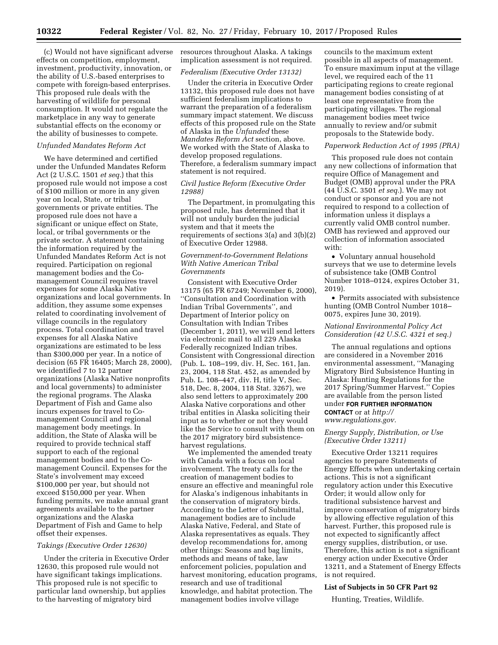(c) Would not have significant adverse effects on competition, employment, investment, productivity, innovation, or the ability of U.S.-based enterprises to compete with foreign-based enterprises. This proposed rule deals with the harvesting of wildlife for personal consumption. It would not regulate the marketplace in any way to generate substantial effects on the economy or the ability of businesses to compete.

#### *Unfunded Mandates Reform Act*

We have determined and certified under the Unfunded Mandates Reform Act (2 U.S.C. 1501 *et seq.*) that this proposed rule would not impose a cost of \$100 million or more in any given year on local, State, or tribal governments or private entities. The proposed rule does not have a significant or unique effect on State, local, or tribal governments or the private sector. A statement containing the information required by the Unfunded Mandates Reform Act is not required. Participation on regional management bodies and the Comanagement Council requires travel expenses for some Alaska Native organizations and local governments. In addition, they assume some expenses related to coordinating involvement of village councils in the regulatory process. Total coordination and travel expenses for all Alaska Native organizations are estimated to be less than \$300,000 per year. In a notice of decision (65 FR 16405; March 28, 2000), we identified 7 to 12 partner organizations (Alaska Native nonprofits and local governments) to administer the regional programs. The Alaska Department of Fish and Game also incurs expenses for travel to Comanagement Council and regional management body meetings. In addition, the State of Alaska will be required to provide technical staff support to each of the regional management bodies and to the Comanagement Council. Expenses for the State's involvement may exceed \$100,000 per year, but should not exceed \$150,000 per year. When funding permits, we make annual grant agreements available to the partner organizations and the Alaska Department of Fish and Game to help offset their expenses.

#### *Takings (Executive Order 12630)*

Under the criteria in Executive Order 12630, this proposed rule would not have significant takings implications. This proposed rule is not specific to particular land ownership, but applies to the harvesting of migratory bird

resources throughout Alaska. A takings implication assessment is not required.

## *Federalism (Executive Order 13132)*

Under the criteria in Executive Order 13132, this proposed rule does not have sufficient federalism implications to warrant the preparation of a federalism summary impact statement. We discuss effects of this proposed rule on the State of Alaska in the *Unfunded* these *Mandates Reform Act* section, above. We worked with the State of Alaska to develop proposed regulations. Therefore, a federalism summary impact statement is not required.

## *Civil Justice Reform (Executive Order 12988)*

The Department, in promulgating this proposed rule, has determined that it will not unduly burden the judicial system and that it meets the requirements of sections 3(a) and 3(b)(2) of Executive Order 12988.

## *Government-to-Government Relations With Native American Tribal Governments*

Consistent with Executive Order 13175 (65 FR 67249; November 6, 2000), ''Consultation and Coordination with Indian Tribal Governments'', and Department of Interior policy on Consultation with Indian Tribes (December 1, 2011), we will send letters via electronic mail to all 229 Alaska Federally recognized Indian tribes. Consistent with Congressional direction (Pub. L. 108–199, div. H, Sec. 161, Jan. 23, 2004, 118 Stat. 452, as amended by Pub. L. 108–447, div. H, title V, Sec. 518, Dec. 8, 2004, 118 Stat. 3267), we also send letters to approximately 200 Alaska Native corporations and other tribal entities in Alaska soliciting their input as to whether or not they would like the Service to consult with them on the 2017 migratory bird subsistenceharvest regulations.

We implemented the amended treaty with Canada with a focus on local involvement. The treaty calls for the creation of management bodies to ensure an effective and meaningful role for Alaska's indigenous inhabitants in the conservation of migratory birds. According to the Letter of Submittal, management bodies are to include Alaska Native, Federal, and State of Alaska representatives as equals. They develop recommendations for, among other things: Seasons and bag limits, methods and means of take, law enforcement policies, population and harvest monitoring, education programs, research and use of traditional knowledge, and habitat protection. The management bodies involve village

councils to the maximum extent possible in all aspects of management. To ensure maximum input at the village level, we required each of the 11 participating regions to create regional management bodies consisting of at least one representative from the participating villages. The regional management bodies meet twice annually to review and/or submit proposals to the Statewide body.

#### *Paperwork Reduction Act of 1995 (PRA)*

This proposed rule does not contain any new collections of information that require Office of Management and Budget (OMB) approval under the PRA (44 U.S.C. 3501 *et seq.*). We may not conduct or sponsor and you are not required to respond to a collection of information unless it displays a currently valid OMB control number. OMB has reviewed and approved our collection of information associated with:

• Voluntary annual household surveys that we use to determine levels of subsistence take (OMB Control Number 1018–0124, expires October 31, 2019).

• Permits associated with subsistence hunting (OMB Control Number 1018– 0075, expires June 30, 2019).

## *National Environmental Policy Act Consideration (42 U.S.C. 4321 et seq.)*

The annual regulations and options are considered in a November 2016 environmental assessment, ''Managing Migratory Bird Subsistence Hunting in Alaska: Hunting Regulations for the 2017 Spring/Summer Harvest.'' Copies are available from the person listed under **FOR FURTHER INFORMATION CONTACT** or at *[http://](http://www.regulations.gov)* 

*[www.regulations.gov.](http://www.regulations.gov)* 

## *Energy Supply, Distribution, or Use (Executive Order 13211)*

Executive Order 13211 requires agencies to prepare Statements of Energy Effects when undertaking certain actions. This is not a significant regulatory action under this Executive Order; it would allow only for traditional subsistence harvest and improve conservation of migratory birds by allowing effective regulation of this harvest. Further, this proposed rule is not expected to significantly affect energy supplies, distribution, or use. Therefore, this action is not a significant energy action under Executive Order 13211, and a Statement of Energy Effects is not required.

## **List of Subjects in 50 CFR Part 92**

Hunting, Treaties, Wildlife.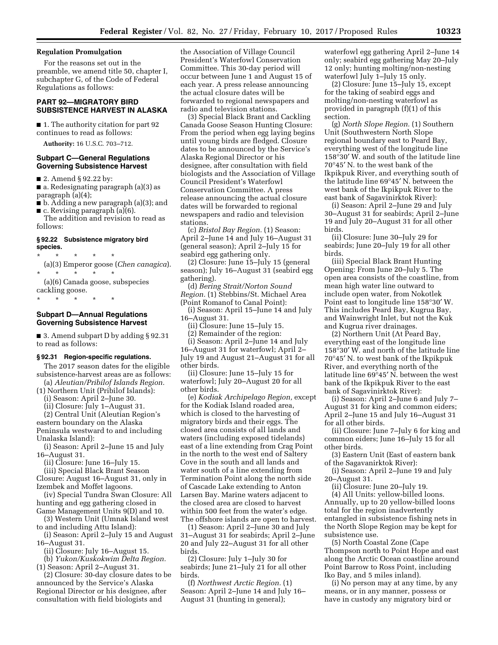## **Regulation Promulgation**

For the reasons set out in the preamble, we amend title 50, chapter I, subchapter G, of the Code of Federal Regulations as follows:

# **PART 92—MIGRATORY BIRD SUBSISTENCE HARVEST IN ALASKA**

■ 1. The authority citation for part 92 continues to read as follows:

**Authority:** 16 U.S.C. 703–712.

# **Subpart C—General Regulations Governing Subsistence Harvest**

■ 2. Amend § 92.22 by:

■ a. Redesignating paragraph (a)(3) as paragraph (a)(4);

- b. Adding a new paragraph (a)(3); and
- c. Revising paragraph (a)(6). The addition and revision to read as
- follows:

### **§ 92.22 Subsistence migratory bird species.**

\* \* \* \* \*

(a)(3) Emperor goose (*Chen canagica*). \* \* \* \* \*

(a)(6) Canada goose, subspecies cackling goose.

\* \* \* \* \*

# **Subpart D—Annual Regulations Governing Subsistence Harvest**

■ 3. Amend subpart D by adding § 92.31 to read as follows:

# **§ 92.31 Region-specific regulations.**

The 2017 season dates for the eligible subsistence-harvest areas are as follows:

(a) *Aleutian/Pribilof Islands Region.*  (1) Northern Unit (Pribilof Islands):

(i) Season: April 2–June 30.

(ii) Closure: July 1–August 31.

(2) Central Unit (Aleutian Region's eastern boundary on the Alaska Peninsula westward to and including Unalaska Island):

(i) Season: April 2–June 15 and July 16–August 31.

(ii) Closure: June 16–July 15.

(iii) Special Black Brant Season Closure: August 16–August 31, only in Izembek and Moffet lagoons.

(iv) Special Tundra Swan Closure: All hunting and egg gathering closed in Game Management Units 9(D) and 10.

(3) Western Unit (Umnak Island west to and including Attu Island):

(i) Season: April 2–July 15 and August 16–August 31.

(ii) Closure: July 16–August 15.

(b) *Yukon/Kuskokwim Delta Region.*  (1) Season: April 2–August 31.

(2) Closure: 30-day closure dates to be announced by the Service's Alaska Regional Director or his designee, after consultation with field biologists and

the Association of Village Council President's Waterfowl Conservation Committee. This 30-day period will occur between June 1 and August 15 of each year. A press release announcing the actual closure dates will be forwarded to regional newspapers and radio and television stations.

(3) Special Black Brant and Cackling Canada Goose Season Hunting Closure: From the period when egg laying begins until young birds are fledged. Closure dates to be announced by the Service's Alaska Regional Director or his designee, after consultation with field biologists and the Association of Village Council President's Waterfowl Conservation Committee. A press release announcing the actual closure dates will be forwarded to regional newspapers and radio and television stations.

(c) *Bristol Bay Region.* (1) Season: April 2–June 14 and July 16–August 31 (general season); April 2–July 15 for seabird egg gathering only.

(2) Closure: June 15–July 15 (general season); July 16–August 31 (seabird egg gathering).

(d) *Bering Strait/Norton Sound Region.* (1) Stebbins/St. Michael Area (Point Romanof to Canal Point):

(i) Season: April 15–June 14 and July 16–August 31.

(ii) Closure: June 15–July 15.

(2) Remainder of the region:

(i) Season: April 2–June 14 and July 16–August 31 for waterfowl; April 2– July 19 and August 21–August 31 for all other birds.

(ii) Closure: June 15–July 15 for waterfowl; July 20–August 20 for all other birds.

(e) *Kodiak Archipelago Region,* except for the Kodiak Island roaded area, which is closed to the harvesting of migratory birds and their eggs. The closed area consists of all lands and waters (including exposed tidelands) east of a line extending from Crag Point in the north to the west end of Saltery Cove in the south and all lands and water south of a line extending from Termination Point along the north side of Cascade Lake extending to Anton Larsen Bay. Marine waters adjacent to the closed area are closed to harvest within 500 feet from the water's edge. The offshore islands are open to harvest.

(1) Season: April 2–June 30 and July 31–August 31 for seabirds; April 2–June 20 and July 22–August 31 for all other birds.

(2) Closure: July 1–July 30 for seabirds; June 21–July 21 for all other birds.

(f) *Northwest Arctic Region.* (1) Season: April 2–June 14 and July 16– August 31 (hunting in general);

waterfowl egg gathering April 2–June 14 only; seabird egg gathering May 20–July 12 only; hunting molting/non-nesting waterfowl July 1–July 15 only.

(2) Closure: June 15–July 15, except for the taking of seabird eggs and molting/non-nesting waterfowl as provided in paragraph (f)(1) of this section.

(g) *North Slope Region.* (1) Southern Unit (Southwestern North Slope regional boundary east to Peard Bay, everything west of the longitude line 158°30′ W. and south of the latitude line 70°45′ N. to the west bank of the Ikpikpuk River, and everything south of the latitude line 69°45′ N. between the west bank of the Ikpikpuk River to the east bank of Sagavinirktok River):

(i) Season: April 2–June 29 and July 30–August 31 for seabirds; April 2–June 19 and July 20–August 31 for all other birds.

(ii) Closure: June 30–July 29 for seabirds; June 20–July 19 for all other birds.

(iii) Special Black Brant Hunting Opening: From June 20–July 5. The open area consists of the coastline, from mean high water line outward to include open water, from Nokotlek Point east to longitude line 158°30′ W. This includes Peard Bay, Kugrua Bay, and Wainwright Inlet, but not the Kuk and Kugrua river drainages.

(2) Northern Unit (At Peard Bay, everything east of the longitude line 158°30′ W. and north of the latitude line 70°45′ N. to west bank of the Ikpikpuk River, and everything north of the latitude line 69°45′ N. between the west bank of the Ikpikpuk River to the east bank of Sagavinirktok River):

(i) Season: April 2–June 6 and July 7– August 31 for king and common eiders; April 2–June 15 and July 16–August 31 for all other birds.

(ii) Closure: June 7–July 6 for king and common eiders; June 16–July 15 for all other birds.

(3) Eastern Unit (East of eastern bank of the Sagavanirktok River):

(i) Season: April 2–June 19 and July 20–August 31.

(ii) Closure: June 20–July 19.

(4) All Units: yellow-billed loons. Annually, up to 20 yellow-billed loons total for the region inadvertently entangled in subsistence fishing nets in the North Slope Region may be kept for subsistence use.

(5) North Coastal Zone (Cape Thompson north to Point Hope and east along the Arctic Ocean coastline around Point Barrow to Ross Point, including Iko Bay, and 5 miles inland).

(i) No person may at any time, by any means, or in any manner, possess or have in custody any migratory bird or